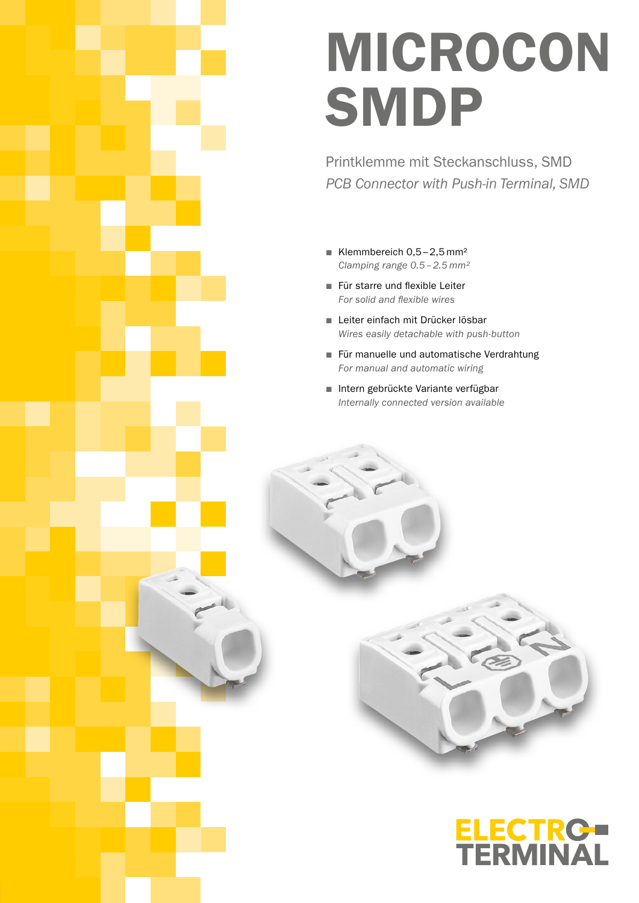# MICROCON **SMDP**

Printklemme mit Steckanschluss, SMD *PCB Connector with Push-in Terminal, SMD*

- Klemmbereich  $0,5-2,5$  mm<sup>2</sup> *Clamping range 0.5–2.5 mm²*
- Für starre und flexible Leiter *For solid and flexible wires*
- Leiter einfach mit Drücker lösbar *Wires easily detachable with push-button*
- Für manuelle und automatische Verdrahtung *For manual and automatic wiring*
- Intern gebrückte Variante verfügbar *Internally connected version available*



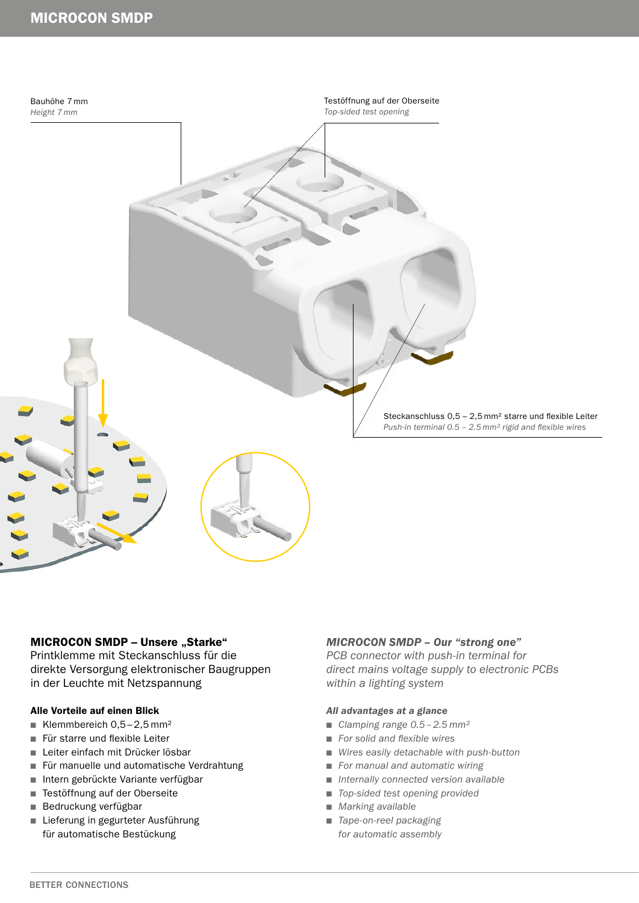## MICROCON SMDP



#### MICROCON SMDP - Unsere "Starke"

Printklemme mit Steckanschluss für die direkte Versorgung elektronischer Baugruppen in der Leuchte mit Netzspannung

#### Alle Vorteile auf einen Blick

- Klemmbereich  $0,5-2,5$  mm<sup>2</sup>
- Für starre und flexible Leiter
- Leiter einfach mit Drücker lösbar
- Für manuelle und automatische Verdrahtung
- Intern gebrückte Variante verfügbar
- Testöffnung auf der Oberseite
- Bedruckung verfügbar
- Lieferung in gegurteter Ausführung für automatische Bestückung

#### *MICROCON SMDP – Our "strong one"*

*PCB connector with push-in terminal for direct mains voltage supply to electronic PCBs within a lighting system*

#### *All advantages at a glance*

- *Clamping range 0.5 2.5 mm<sup>2</sup>*
- *For solid and flexible wires*
- Wires easily detachable with push-button
- *For manual and automatic wiring*
- *Internally connected version available*
- *Top-sided test opening provided*
- *Marking available*
- *Tape-on-reel packaging for automatic assembly*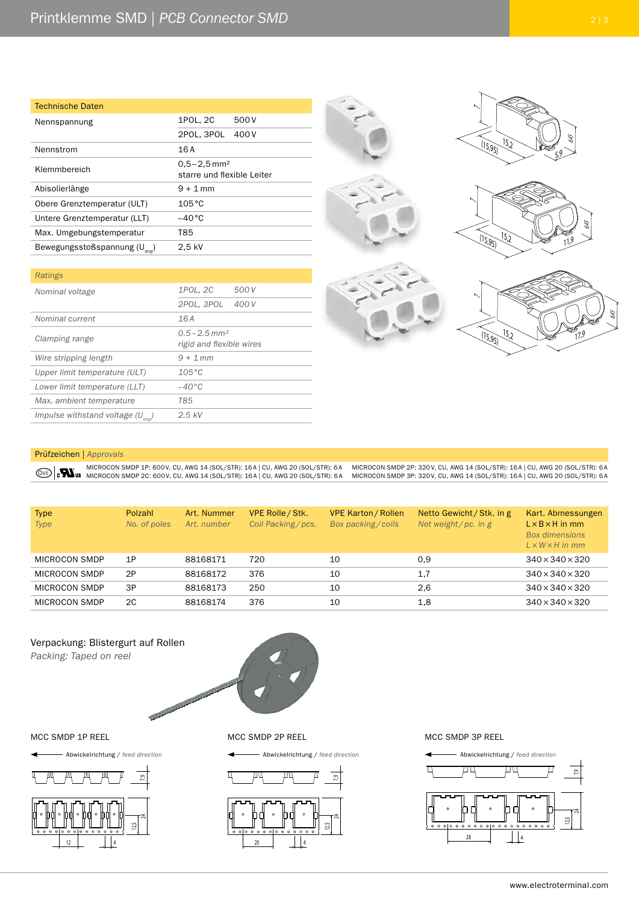| <b>Technische Daten</b>                    |                                                           |  |
|--------------------------------------------|-----------------------------------------------------------|--|
| Nennspannung                               | 1POL, 2C<br>500 V                                         |  |
|                                            | 2POL, 3POL<br>400 V                                       |  |
| Nennstrom                                  | 16A                                                       |  |
| Klemmbereich                               | $0.5 - 2.5$ mm <sup>2</sup><br>starre und flexible Leiter |  |
| Abisolierlänge                             | $9 + 1$ mm                                                |  |
| Obere Grenztemperatur (ULT)                | $105^{\circ}$ C                                           |  |
| Untere Grenztemperatur (LLT)               | $-40^{\circ}$ C                                           |  |
| Max. Umgebungstemperatur                   | T85                                                       |  |
| Bewegungsstoßspannung ( $U_{\text{imp}}$ ) | 2.5 kV                                                    |  |

| Ratings                              |                                                         |
|--------------------------------------|---------------------------------------------------------|
| Nominal voltage                      | 1POL, 2C<br>500 V                                       |
|                                      | 2POL, 3POL<br>400 V                                     |
| Nominal current                      | 16A                                                     |
| Clamping range                       | $0.5 - 2.5$ mm <sup>2</sup><br>rigid and flexible wires |
| Wire stripping length                | $9 + 1$ mm                                              |
| Upper limit temperature (ULT)        | $105^{\circ}$ C                                         |
| Lower limit temperature (LLT)        | $-40^{\circ}$ C                                         |
| Max. ambient temperature             | <b>T85</b>                                              |
| Impulse withstand voltage $(U_{im})$ | $2.5$ kV                                                |



Prüfzeichen | *Approvals*

MICROCON SMDP 1P: 600V, CU, AWG 14 (SOL/STR): 16A | CU, AWG 20 (SOL/STR): 6A MICROCON SMDP 2P: 320V, CU, AWG 14 (SOL/STR): 16A | CU, AWG 20 (SOL/STR): 6A WE RUICROCON SMUP 1P. 000 V, CU, AWG 14 (SOL/STR): 100, ANG 20 (SOL/STR): 6A MICROCON SMDP 3P: 320V, CU, AWG 14 (SOL/STR): 16A | CU, AWG 20 (SOL/STR): 6A

| <b>Type</b><br><b>Type</b> | Polzahl<br>No. of poles | Art. Nummer<br>Art. number | VPE Rolle / Stk.<br>Coil Packing/pcs. | <b>VPE Karton / Rollen</b><br>Box packing/coils | Netto Gewicht / Stk. in g<br>Net weight/pc. in g | Kart. Abmessungen<br>$L \times B \times H$ in mm<br><b>Box dimensions</b><br>$L \times W \times H$ in mm |
|----------------------------|-------------------------|----------------------------|---------------------------------------|-------------------------------------------------|--------------------------------------------------|----------------------------------------------------------------------------------------------------------|
| MICROCON SMDP              | 1P                      | 88168171                   | 720                                   | 10                                              | 0.9                                              | 340×340×320                                                                                              |
| MICROCON SMDP              | 2P                      | 88168172                   | 376                                   | 10                                              | 1,7                                              | $340\times340\times320$                                                                                  |
| MICROCON SMDP              | 3P                      | 88168173                   | 250                                   | 10                                              | 2.6                                              | $340\times340\times320$                                                                                  |
| MICROCON SMDP              | 2C                      | 88168174                   | 376                                   | 10                                              | 1,8                                              | $340\times340\times320$                                                                                  |

#### Verpackung: Blistergurt auf Rollen

*Packing: Taped on reel*





MCC SMDP 1P REEL MCC SMDP 2P REEL







MCC SMDP 3P REEL